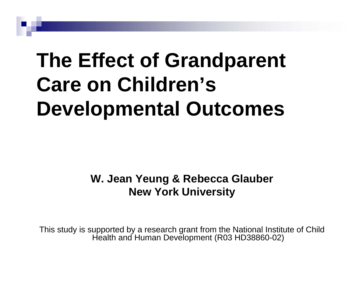# **The Effect of Grandparent Care on Children's Developmental Outcomes**

#### **W. Jean Yeung & Rebecca Glauber New York University**

This study is supported by a research grant from the National Institute of Child Health and Human Development (R03 HD38860-02)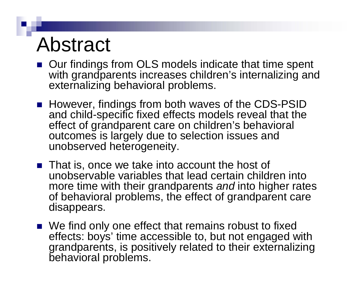## Abstract

- Our findings from OLS models indicate that time spent with grand parents increases children's internalizing and externalizing behavioral problems.
- However, findings from both waves of the CDS-PSID and child-specific fixed effects models reveal that the effect of grandparent care on children's behavioral outcomes is largely due to selection issues and unobserved heterogeneity.
- **That is, once we take into account the host of** unobservable variables that lead certain children into more time with their grandparents *and* into higher rates of behavioral problems, the effect of grandparent care disappears.
- We find only one effect that remains robust to fixed effects: boys' time accessible to, but not engaged with grandparents, is positively related to their externalizing behavioral problems.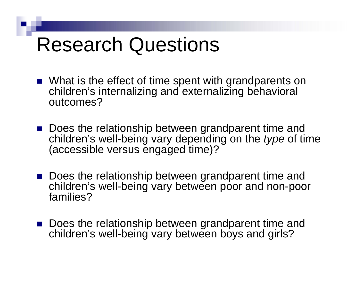## Research Questions

- What is the effect of time spent with grandparents on children's internalizing and externalizing behavioral outcomes?
- Does the relationship between grandparent time and children's well-being vary depending on the *type* of time (accessible versus engaged time)?
- Does the relationship between grandparent time and children's well-being vary between poor and non-poor families?
- Does the relationship between grandparent time and children's well-being vary between boys and girls?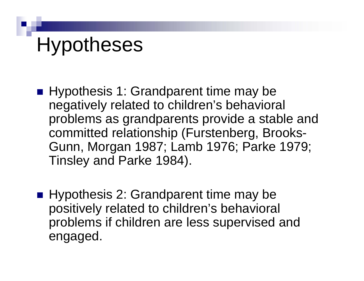# **Hypotheses**

- Hypothesis 1: Grandparent time may be negatively related to children's behavioral problems as grandparents provide a stable and committed relationship (Furstenberg, Brooks-Gunn, Morgan 1987; Lamb 1976; Parke 1979; Tinsley and Parke 1984).
- Hypothesis 2: Grandparent time may be positively related to children's behavioral problems if children are less supervised and engaged.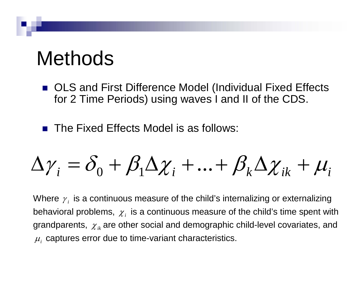#### Methods

■ OLS and First Difference Model (Individual Fixed Effects for 2 Time Periods) using waves I and II of the CDS.

■ The Fixed Effects Model is as follows:

$$
\Delta \gamma_i = \delta_0 + \beta_1 \Delta \chi_i + \dots + \beta_k \Delta \chi_{ik} + \mu_i
$$

Where  $\overline{\gamma}_i$  is a continuous measure of the child's internalizing or externalizing behavioral problems,  $\chi_i$  is a continuous measure of the child's time spent with grandparents,  $\ _{{\cal X}_{ik}}$  are other social and demographic child-level covariates, and  $\mu_i$  captures error due to time-variant characteristics.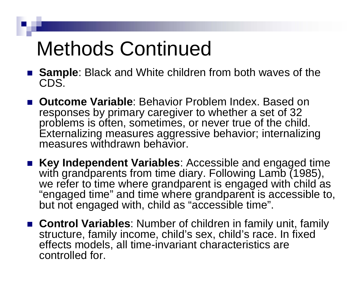# Methods Continued

- **Sample:** Black and White children from both waves of the CDS.
- **Outcome Variable**: Behavior Problem Index. Based on responses by primary caregiver to whether a set of 32 problems is often, sometimes, or never true of the child. Externalizing measures aggressive behavior; internalizing measures withdrawn behavior.
- Key Independent Variables: Accessible and engaged time with grandparents from time diary. Following Lamb (1985), we refer to time where grandparent is engaged with child as "engaged time" and time where grandparent is accessible to, but not engaged with, child as "accessible time".
- **Control Variables**: Number of children in family unit, family structure, family income, child's sex, child's race. In fixed effects models, all time-invariant characteristics are controlled for.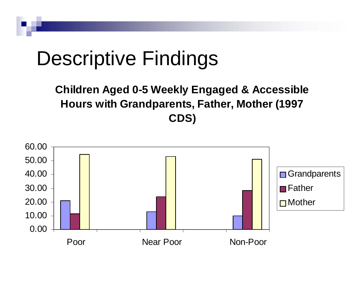#### Children Aged 0-5 Weekly Engaged & Accessible Hours with Grandparents, Father, Mother (1997 **CDS )**

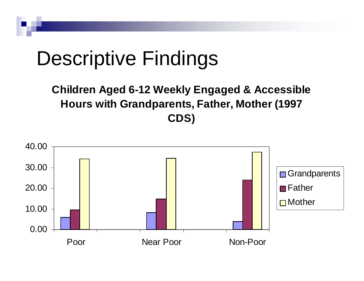#### **Children Aged 6-12 Weekly Engaged & Accessible** Hours with Grandparents, Father, Mother (1997 **CDS )**

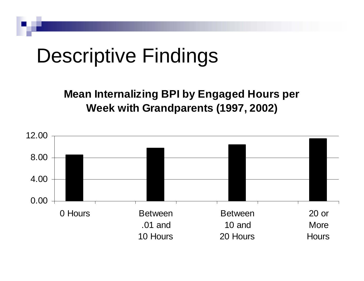#### Mean Internalizing BPI by Engaged Hours per **Week wit h G randpa r ents (1997, 2002)**

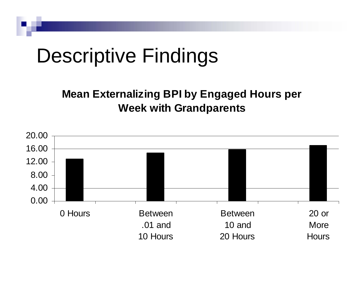#### **Mean Externalizing BPI by Engaged Hours per** Week with Grandparents

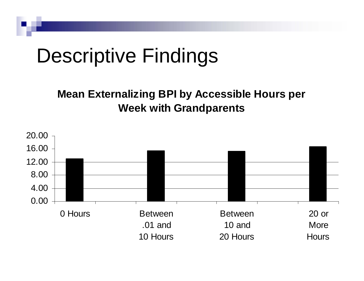#### Mean Externalizing BPI by Accessible Hours per Week with Grandparents

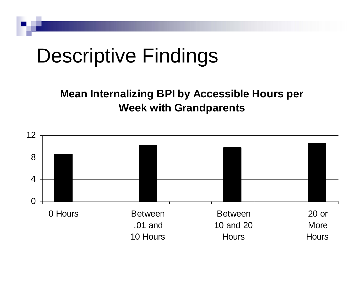#### **Mean Internalizing BPI by Accessible Hours per Week with Grandparents**

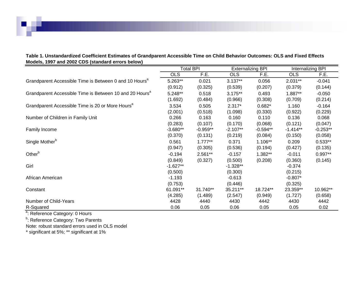|                                                                     | <b>Total BPI</b> |            | <b>Externalizing BPI</b> |            | Internalizing BPI |            |
|---------------------------------------------------------------------|------------------|------------|--------------------------|------------|-------------------|------------|
|                                                                     | <b>OLS</b>       | F.E.       | <b>OLS</b>               | F.E.       | <b>OLS</b>        | F.E.       |
| Grandparent Accessible Time is Between 0 and 10 Hours <sup>a</sup>  | 5.263**          | 0.021      | $3.137**$                | 0.056      | $2.031**$         | $-0.041$   |
|                                                                     | (0.912)          | (0.325)    | (0.539)                  | (0.207)    | (0.379)           | (0.144)    |
| Grandparent Accessible Time is Between 10 and 20 Hours <sup>a</sup> | 5.248**          | 0.518      | $3.175**$                | 0.493      | 1.887**           | $-0.050$   |
|                                                                     | (1.692)          | (0.484)    | (0.966)                  | (0.308)    | (0.709)           | (0.214)    |
| Grandparent Accessible Time is 20 or More Hours <sup>a</sup>        | 3.534            | 0.505      | $2.317*$                 | $0.682*$   | 1.160             | $-0.164$   |
|                                                                     | (2.001)          | (0.518)    | (1.098)                  | (0.330)    | (0.922)           | (0.229)    |
| Number of Children in Family Unit                                   | 0.266            | 0.163      | 0.160                    | 0.110      | 0.136             | 0.068      |
|                                                                     | (0.283)          | (0.107)    | (0.170)                  | (0.068)    | (0.121)           | (0.047)    |
| Family Income                                                       | $-3.680**$       | $-0.959**$ | $-2.107**$               | $-0.594**$ | $-1.414**$        | $-0.253**$ |
|                                                                     | (0.370)          | (0.131)    | (0.219)                  | (0.084)    | (0.150)           | (0.058)    |
| Single Mother <sup>b</sup>                                          | 0.561            | $1.777***$ | 0.371                    | 1.106**    | 0.209             | $0.533**$  |
|                                                                     | (0.947)          | (0.305)    | (0.536)                  | (0.194)    | (0.427)           | (0.135)    |
| Other <sup>b</sup>                                                  | $-0.194$         | 2.561**    | $-0.157$                 | 1.382**    | $-0.011$          | $0.997**$  |
|                                                                     | (0.849)          | (0.327)    | (0.500)                  | (0.208)    | (0.360)           | (0.145)    |
| Girl                                                                | $-1.627**$       |            | $-1.328**$               |            | $-0.374$          |            |
|                                                                     | (0.500)          |            | (0.300)                  |            | (0.215)           |            |
| African American                                                    | $-1.193$         |            | $-0.613$                 |            | $-0.807*$         |            |
|                                                                     | (0.753)          |            | (0.446)                  |            | (0.325)           |            |
| Constant                                                            | 61.091**         | 31.740**   | 35.211**                 | 18.724**   | 23.359**          | 10.962**   |
|                                                                     | (4.285)          | (1.489)    | (2.547)                  | (0.949)    | (1.727)           | (0.658)    |
| Number of Child-Years                                               | 4428             | 4440       | 4430                     | 4442       | 4430              | 4442       |
| R-Squared                                                           | 0.06             | 0.05       | 0.06                     | 0.05       | 0.05              | 0.02       |

**Table 1. Unstandardized Coefficient Estimates of Grandparent Accessible Time on Child Behavior Outcomes: OLS and Fixed Effects Models, 1997 and 2002 CDS (standard errors below)**

a: Reference Category: 0 Hours

**b**: Reference Category: Two Parents

Note: robust standard errors used in OLS model

\* significant at 5%; \*\* significant at 1%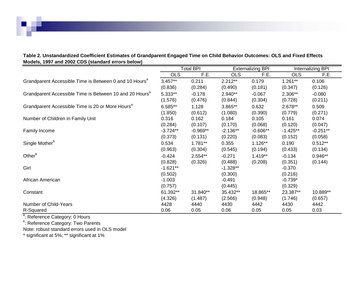|                                                                     | <b>Total BPI</b> |            |            | <b>Externalizing BPI</b> |            | Internalizing BPI |  |
|---------------------------------------------------------------------|------------------|------------|------------|--------------------------|------------|-------------------|--|
|                                                                     | <b>OLS</b>       | F.E.       | <b>OLS</b> | F.E.                     | <b>OLS</b> | F.E.              |  |
| Grandparent Accessible Time is Between 0 and 10 Hours <sup>a</sup>  | $3.457**$        | 0.211      | $2.212**$  | 0.179                    | $1.261**$  | 0.106             |  |
|                                                                     | (0.836)          | (0.284)    | (0.490)    | (0.181)                  | (0.347)    | (0.126)           |  |
| Grandparent Accessible Time is Between 10 and 20 Hours <sup>a</sup> | 5.333**          | $-0.178$   | 2.940**    | $-0.067$                 | 2.306**    | $-0.080$          |  |
|                                                                     | (1.576)          | (0.476)    | (0.844)    | (0.304)                  | (0.728)    | (0.211)           |  |
| Grandparent Accessible Time is 20 or More Hours <sup>a</sup>        | 6.585**          | 1.128      | 3.865**    | 0.632                    | 2.678**    | 0.509             |  |
|                                                                     | (1.850)          | (0.612)    | (1.080)    | (0.390)                  | (0.779)    | (0.271)           |  |
| Number of Children in Family Unit                                   | 0.316            | 0.162      | 0.184      | 0.105                    | 0.161      | 0.074             |  |
|                                                                     | (0.284)          | (0.107)    | (0.170)    | (0.068)                  | (0.120)    | (0.047)           |  |
| Family Income                                                       | $-3.724**$       | $-0.969**$ | $-2.136**$ | $-0.606**$               | $-1.425**$ | $-0.251**$        |  |
|                                                                     | (0.373)          | (0.131)    | (0.220)    | (0.083)                  | (0.152)    | (0.058)           |  |
| Single Mother <sup>b</sup>                                          | 0.534            | $1.781**$  | 0.355      | $1.126**$                | 0.190      | $0.512**$         |  |
|                                                                     | (0.963)          | (0.304)    | (0.545)    | (0.194)                  | (0.433)    | (0.134)           |  |
| Other <sup>b</sup>                                                  | $-0.424$         | 2.554**    | $-0.271$   | $1.419**$                | $-0.134$   | $0.946**$         |  |
|                                                                     | (0.828)          | (0.326)    | (0.488)    | (0.208)                  | (0.351)    | (0.144)           |  |
| Girl                                                                | $-1.621**$       |            | $-1.328**$ |                          | $-0.370$   |                   |  |
|                                                                     | (0.502)          |            | (0.300)    |                          | (0.216)    |                   |  |
| African American                                                    | $-1.003$         |            | $-0.491$   |                          | $-0.739*$  |                   |  |
|                                                                     | (0.757)          |            | (0.445)    |                          | (0.329)    |                   |  |
| Constant                                                            | 61.392**         | 31.840**   | 35.432**   | 18.865**                 | 23.387**   | 10.889**          |  |
|                                                                     | (4.326)          | (1.487)    | (2.566)    | (0.948)                  | (1.746)    | (0.657)           |  |
| Number of Child-Years                                               | 4428             | 4440       | 4430       | 4442                     | 4430       | 4442              |  |
| R-Squared                                                           | 0.06             | 0.05       | 0.06       | 0.05                     | 0.05       | 0.03              |  |

#### **Table 2. Unstandardized Coefficient Estimates of Grandparent Engaged Time on Child Behavior Outcomes: OLS and Fixed Effects Models, 1997 and 2002 CDS (standard errors below)**

<sup>a</sup>: Reference Category: 0 Hours

<sup>b</sup>: Reference Category: Two Parents

Note: robust standard errors used in OLS model

\* significant at 5%; \*\* significant at 1%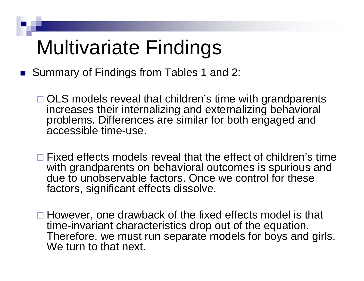# Multivariate Findings

- Summary of Findings from Tables 1 and 2:
	- □ OLS models reveal that children's time with grandparents increases their internalizing and externalizing behavioral problems. Differences are similar for both engaged and accessible time-use.
	- □ Fixed effects models reveal that the effect of children's time with grandparents on behavioral outcomes is spurious and due to unobservable factors. Once we control for these factors, significant effects dissolve.
	- □ However, one drawback of the fixed effects model is that time-invariant characteristics drop out of the equation. Therefore, we must run separate models for boys and girls. We turn to that next.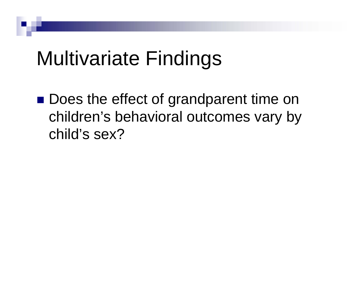## Multivariate Findings

■ Does the effect of grandparent time on children's behavioral outcomes vary by child's sex?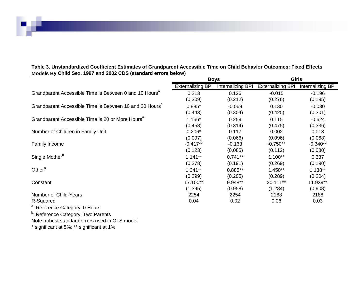|                                                                     | <b>Boys</b>              |                   | <b>Girls</b>             |                   |  |
|---------------------------------------------------------------------|--------------------------|-------------------|--------------------------|-------------------|--|
|                                                                     | <b>Externalizing BPI</b> | Internalizing BPI | <b>Externalizing BPI</b> | Internalizing BPI |  |
| Grandparent Accessible Time is Between 0 and 10 Hours <sup>a</sup>  | 0.213                    | 0.126             | $-0.015$                 | $-0.196$          |  |
|                                                                     | (0.309)                  | (0.212)           | (0.276)                  | (0.195)           |  |
| Grandparent Accessible Time is Between 10 and 20 Hours <sup>a</sup> | $0.885*$                 | $-0.069$          | 0.130                    | $-0.030$          |  |
|                                                                     | (0.443)                  | (0.304)           | (0.425)                  | (0.301)           |  |
| Grandparent Accessible Time is 20 or More Hours <sup>a</sup>        | 1.166*                   | 0.259             | 0.115                    | $-0.624$          |  |
|                                                                     | (0.458)                  | (0.314)           | (0.475)                  | (0.336)           |  |
| Number of Children in Family Unit                                   | $0.206*$                 | 0.117             | 0.002                    | 0.013             |  |
|                                                                     | (0.097)                  | (0.066)           | (0.096)                  | (0.068)           |  |
| Family Income                                                       | $-0.417**$               | $-0.163$          | $-0.750**$               | $-0.340**$        |  |
|                                                                     | (0.123)                  | (0.085)           | (0.112)                  | (0.080)           |  |
| Single Mother <sup>b</sup>                                          | $1.141**$                | $0.741**$         | $1.100**$                | 0.337             |  |
|                                                                     | (0.278)                  | (0.191)           | (0.269)                  | (0.190)           |  |
| Other <sup>b</sup>                                                  | $1.341**$                | $0.885**$         | $1.450**$                | 1.138**           |  |
|                                                                     | (0.299)                  | (0.205)           | (0.289)                  | (0.204)           |  |
| Constant                                                            | 17.100**                 | 9.948**           | 20.111**                 | 11.939**          |  |
|                                                                     | (1.395)                  | (0.958)           | (1.284)                  | (0.908)           |  |
| Number of Child-Years                                               | 2254                     | 2254              | 2188                     | 2188              |  |
| R-Squared                                                           | 0.04                     | 0.02              | 0.06                     | 0.03              |  |

#### **Table 3. Unstandardized Coefficient Estimates of Grandparent Accessible Time on Child Behavior Outcomes: Fixed Effects Models By Child Sex, 1997 and 2002 CDS (standard errors below)**

<sup>a</sup>: Reference Category: 0 Hours

<sup>b</sup>: Reference Category: Two Parents

Note: robust standard errors used in OLS model

\* significant at 5%; \*\* significant at 1%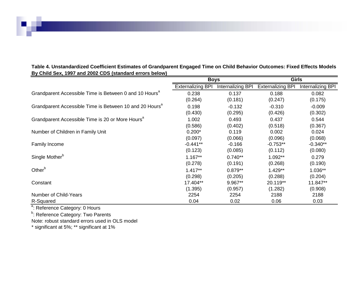|                                                                     | <b>Boys</b>              |                   | Girls                    |                   |  |
|---------------------------------------------------------------------|--------------------------|-------------------|--------------------------|-------------------|--|
|                                                                     | <b>Externalizing BPI</b> | Internalizing BPI | <b>Externalizing BPI</b> | Internalizing BPI |  |
| Grandparent Accessible Time is Between 0 and 10 Hours <sup>a</sup>  | 0.238                    | 0.137             | 0.188                    | 0.082             |  |
|                                                                     | (0.264)                  | (0.181)           | (0.247)                  | (0.175)           |  |
| Grandparent Accessible Time is Between 10 and 20 Hours <sup>a</sup> | 0.198                    | $-0.132$          | $-0.310$                 | $-0.009$          |  |
|                                                                     | (0.430)                  | (0.295)           | (0.426)                  | (0.302)           |  |
| Grandparent Accessible Time is 20 or More Hours <sup>a</sup>        | 1.002                    | 0.493             | 0.437                    | 0.544             |  |
|                                                                     | (0.586)                  | (0.402)           | (0.518)                  | (0.367)           |  |
| Number of Children in Family Unit                                   | $0.200*$                 | 0.119             | 0.002                    | 0.024             |  |
|                                                                     | (0.097)                  | (0.066)           | (0.096)                  | (0.068)           |  |
| <b>Family Income</b>                                                | $-0.441**$               | $-0.166$          | $-0.753**$               | $-0.340**$        |  |
|                                                                     | (0.123)                  | (0.085)           | (0.112)                  | (0.080)           |  |
| Single Mother <sup>b</sup>                                          | $1.167**$                | $0.740**$         | $1.092**$                | 0.279             |  |
|                                                                     | (0.278)                  | (0.191)           | (0.268)                  | (0.190)           |  |
| Other <sup>b</sup>                                                  | $1.417**$                | $0.879**$         | $1.429**$                | 1.036**           |  |
|                                                                     | (0.298)                  | (0.205)           | (0.288)                  | (0.204)           |  |
| Constant                                                            | 17.404**                 | 9.967**           | 20.119**                 | 11.847**          |  |
|                                                                     | (1.395)                  | (0.957)           | (1.282)                  | (0.908)           |  |
| Number of Child-Years                                               | 2254                     | 2254              | 2188                     | 2188              |  |
| R-Squared                                                           | 0.04                     | 0.02              | 0.06                     | 0.03              |  |

#### **Table 4. Unstandardized Coefficient Estimates of Grandparent Engaged Time on Child Behavior Outcomes: Fixed Effects Models By Child Sex, 1997 and 2002 CDS (standard errors below)**

a: Reference Category: 0 Hours

**b**: Reference Category: Two Parents

Note: robust standard errors used in OLS model

\* significant at 5%; \*\* significant at 1%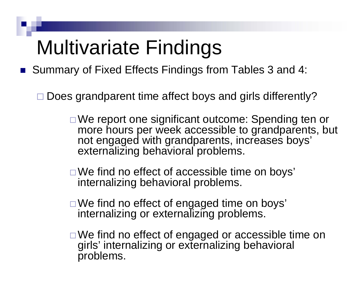# Multivariate Findings

■ Summary of Fixed Effects Findings from Tables 3 and 4:

 $\Box$ Does grandparent time affect boys and girls differently?

- □ We report one significant outcome: Spending ten or more hours per week accessible to grandparents, but not engaged with grandparents, increases boys' externalizing behavioral problems.
- We find no effect of accessible time on boys' internalizing behavioral problems.
- We find no effect of engaged time on boys' internalizing or externalizing problems.
- □ We find no effect of engaged or accessible time on girls' internalizing or externalizing behavioral problems.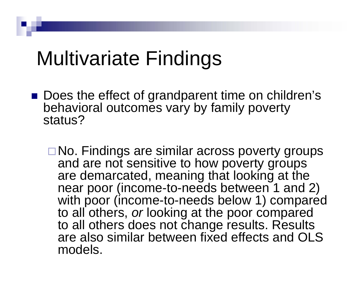## Multivariate Findings

- Does the effect of grandparent time on children's behavioral outcomes vary by family poverty status?
	- **□ No. Findings are similar across poverty groups** and are not sensitive to how poverty groups are demarcated, meaning that looking at the near poor (income-to-needs between 1 and 2) with poor (income-to-needs below 1) compared to all others, *or* looking at the poor compared to all others does not change results. Results are also similar between fixed effects and OLS models.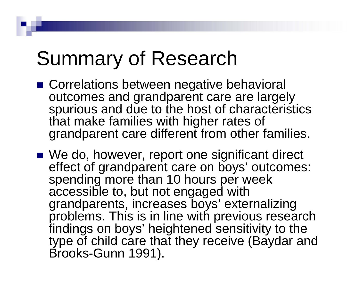# Summary of Research

- Correlations between negative behavioral outcomes and grandparent care are largely spurious and due to the host of characteristics that make families with higher rates of grandparent care different from other families.
- We do, however, report one significant direct effect of grandparent care on boys' outcomes: spending more than 10 hours per week accessible to, but not engaged with grandparents, increases boys' externalizing problems. This is in line with previous research findings on boys' heightened sensitivity to the type of child care that they receive (Baydar and Brooks-Gunn 1991).